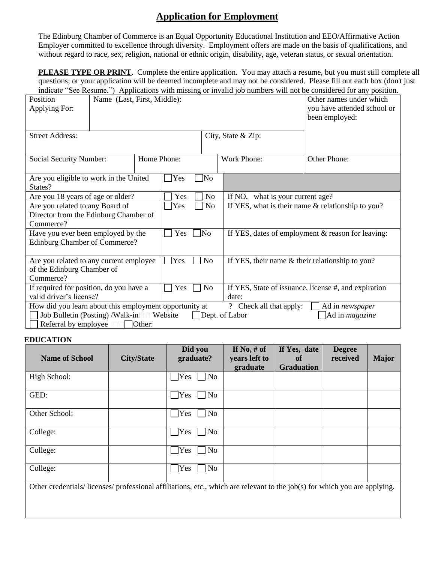## **Application for Employment**

The Edinburg Chamber of Commerce is an Equal Opportunity Educational Institution and EEO/Affirmative Action Employer committed to excellence through diversity. Employment offers are made on the basis of qualifications, and without regard to race, sex, religion, national or ethnic origin, disability, age, veteran status, or sexual orientation.

**PLEASE TYPE OR PRINT**. Complete the entire application. You may attach a resume, but you must still complete all questions; or your application will be deemed incomplete and may not be considered. Please fill out each box (don't just indicate "See Resume.") Applications with missing or invalid job numbers will not be considered for any position.

| Position<br>Applying For:                                                                                                                                                                                                                  | Name (Last, First, Middle): |     | marcale see resume. Trapplications with missing of invantigor numbers will not be considered for any position.<br>Other names under which<br>you have attended school or<br>been employed: |                |                                                   |                                                      |  |  |
|--------------------------------------------------------------------------------------------------------------------------------------------------------------------------------------------------------------------------------------------|-----------------------------|-----|--------------------------------------------------------------------------------------------------------------------------------------------------------------------------------------------|----------------|---------------------------------------------------|------------------------------------------------------|--|--|
| <b>Street Address:</b>                                                                                                                                                                                                                     |                             |     |                                                                                                                                                                                            |                | City, State & Zip:                                |                                                      |  |  |
| Social Security Number:                                                                                                                                                                                                                    |                             |     | Home Phone:                                                                                                                                                                                |                | <b>Work Phone:</b>                                | Other Phone:                                         |  |  |
| Are you eligible to work in the United<br>States?                                                                                                                                                                                          |                             | Yes | No]                                                                                                                                                                                        |                |                                                   |                                                      |  |  |
| Are you 18 years of age or older?                                                                                                                                                                                                          |                             |     | Yes                                                                                                                                                                                        | N <sub>o</sub> | If NO, what is your current age?                  |                                                      |  |  |
| Are you related to any Board of<br>Director from the Edinburg Chamber of<br>Commerce?                                                                                                                                                      |                             |     | Yes                                                                                                                                                                                        | No             | If YES, what is their name & relationship to you? |                                                      |  |  |
| Have you ever been employed by the<br>Edinburg Chamber of Commerce?                                                                                                                                                                        |                             |     | Yes                                                                                                                                                                                        | ]No            | If YES, dates of employment & reason for leaving: |                                                      |  |  |
| Are you related to any current employee<br>of the Edinburg Chamber of<br>Commerce?                                                                                                                                                         |                             |     | Yes                                                                                                                                                                                        | No             | If YES, their name & their relationship to you?   |                                                      |  |  |
| If required for position, do you have a                                                                                                                                                                                                    |                             |     | Yes<br>No                                                                                                                                                                                  |                |                                                   | If YES, State of issuance, license #, and expiration |  |  |
| valid driver's license?                                                                                                                                                                                                                    |                             |     |                                                                                                                                                                                            |                | date:                                             |                                                      |  |  |
| How did you learn about this employment opportunity at<br>? Check all that apply:<br>Ad in newspaper<br>Job Bulletin (Posting) /Walk-in DD Website<br>Dept. of Labor<br>Ad in <i>magazine</i><br>Referral by employee $\Box$ $\Box$ Other: |                             |     |                                                                                                                                                                                            |                |                                                   |                                                      |  |  |

## **EDUCATION**

| <b>Name of School</b>                                                                                                    | <b>City/State</b> | Did you<br>graduate? | If No, $#$ of<br>years left to<br>graduate | If Yes, date<br><b>of</b><br><b>Graduation</b> | <b>Degree</b><br>received | <b>Major</b> |
|--------------------------------------------------------------------------------------------------------------------------|-------------------|----------------------|--------------------------------------------|------------------------------------------------|---------------------------|--------------|
| High School:                                                                                                             |                   | No<br>Yes            |                                            |                                                |                           |              |
| GED:                                                                                                                     |                   | Yes<br>No            |                                            |                                                |                           |              |
| Other School:                                                                                                            |                   | No<br>Yes            |                                            |                                                |                           |              |
| College:                                                                                                                 |                   | Yes<br>No            |                                            |                                                |                           |              |
| College:                                                                                                                 |                   | <b>Yes</b><br>No     |                                            |                                                |                           |              |
| College:                                                                                                                 |                   | Yes<br>No            |                                            |                                                |                           |              |
| Other credentials/licenses/professional affiliations, etc., which are relevant to the job(s) for which you are applying. |                   |                      |                                            |                                                |                           |              |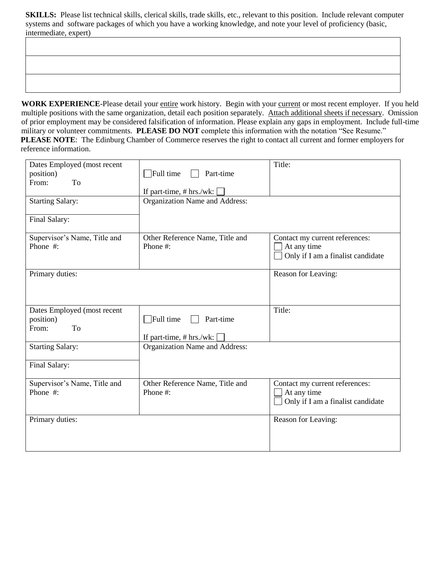**SKILLS:** Please list technical skills, clerical skills, trade skills, etc., relevant to this position. Include relevant computer systems and software packages of which you have a working knowledge, and note your level of proficiency (basic, intermediate, expert)

WORK EXPERIENCE-Please detail your entire work history. Begin with your current or most recent employer. If you held multiple positions with the same organization, detail each position separately. Attach additional sheets if necessary. Omission of prior employment may be considered falsification of information. Please explain any gaps in employment. Include full-time military or volunteer commitments. **PLEASE DO NOT** complete this information with the notation "See Resume." **PLEASE NOTE**: The Edinburg Chamber of Commerce reserves the right to contact all current and former employers for reference information.

| Dates Employed (most recent<br>position)<br>From:<br>To<br><b>Starting Salary:</b><br>Final Salary: | $\overline{\phantom{a}}$ Full time<br>Part-time<br>If part-time, # hrs./wk:<br>Organization Name and Address: | Title:                                                                             |  |  |
|-----------------------------------------------------------------------------------------------------|---------------------------------------------------------------------------------------------------------------|------------------------------------------------------------------------------------|--|--|
| Supervisor's Name, Title and<br>Phone #:                                                            | Other Reference Name, Title and<br>Phone #:                                                                   | Contact my current references:<br>At any time<br>Only if I am a finalist candidate |  |  |
| Primary duties:                                                                                     |                                                                                                               | Reason for Leaving:                                                                |  |  |
| Dates Employed (most recent<br>position)<br>To<br>From:                                             | $\Box$ Full time<br>Part-time<br>If part-time, $# hrs./wk:$                                                   | Title:                                                                             |  |  |
| <b>Starting Salary:</b><br>Final Salary:                                                            | Organization Name and Address:                                                                                |                                                                                    |  |  |
| Supervisor's Name, Title and<br>Phone #:                                                            | Other Reference Name, Title and<br>Phone #:                                                                   | Contact my current references:<br>At any time<br>Only if I am a finalist candidate |  |  |
| Primary duties:                                                                                     |                                                                                                               | Reason for Leaving:                                                                |  |  |